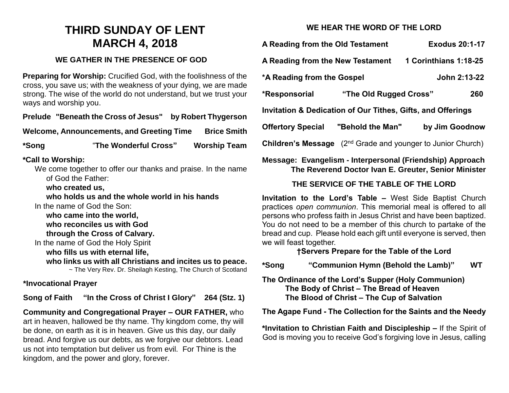# **THIRD SUNDAY OF LENT MARCH 4, 2018**

#### **WE GATHER IN THE PRESENCE OF GOD**

**Preparing for Worship:** Crucified God, with the foolishness of the cross, you save us; with the weakness of your dying, we are made strong. The wise of the world do not understand, but we trust your ways and worship you.

**Prelude "Beneath the Cross of Jesus" by Robert Thygerson**

**Welcome, Announcements, and Greeting Time Brice Smith**

**\*Song** "**The Wonderful Cross" Worship Team**

#### **\*Call to Worship:**

We come together to offer our thanks and praise. In the name of God the Father:

**who created us,** 

**who holds us and the whole world in his hands**

In the name of God the Son:

**who came into the world, who reconciles us with God**

**through the Cross of Calvary.**

In the name of God the Holy Spirit

**who fills us with eternal life,**

**who links us with all Christians and incites us to peace.**

~ The Very Rev. Dr. Sheilagh Kesting, The Church of Scotland

#### **\*Invocational Prayer**

**Song of Faith "In the Cross of Christ I Glory" 264 (Stz. 1)**

**Community and Congregational Prayer – OUR FATHER,** who art in heaven, hallowed be thy name. Thy kingdom come, thy will be done, on earth as it is in heaven. Give us this day, our daily bread. And forgive us our debts, as we forgive our debtors. Lead us not into temptation but deliver us from evil. For Thine is the kingdom, and the power and glory, forever.

# **WE HEAR THE WORD OF THE LORD**

| A Reading from the Old Testament                                                  |                        | <b>Exodus 20:1-17</b> |
|-----------------------------------------------------------------------------------|------------------------|-----------------------|
| A Reading from the New Testament                                                  |                        | 1 Corinthians 1:18-25 |
| *A Reading from the Gospel                                                        |                        | John 2:13-22          |
| *Responsorial                                                                     | "The Old Rugged Cross" | 260                   |
| Invitation & Dedication of Our Tithes, Gifts, and Offerings                       |                        |                       |
| <b>Offertory Special</b>                                                          | "Behold the Man"       | by Jim Goodnow        |
| (2 <sup>nd</sup> Grade and younger to Junior Church)<br><b>Children's Message</b> |                        |                       |

### **Message: Evangelism - Interpersonal (Friendship) Approach The Reverend Doctor Ivan E. Greuter, Senior Minister**

# **THE SERVICE OF THE TABLE OF THE LORD**

**Invitation to the Lord's Table –** West Side Baptist Church practices *open communion*. This memorial meal is offered to all persons who profess faith in Jesus Christ and have been baptized. You do not need to be a member of this church to partake of the bread and cup. Please hold each gift until everyone is served, then we will feast together.

# **†Servers Prepare for the Table of the Lord**

**\*Song "Communion Hymn (Behold the Lamb)" WT**

**The Ordinance of the Lord's Supper (Holy Communion) The Body of Christ – The Bread of Heaven The Blood of Christ – The Cup of Salvation**

#### **The Agape Fund - The Collection for the Saints and the Needy**

**\*Invitation to Christian Faith and Discipleship –** If the Spirit of God is moving you to receive God's forgiving love in Jesus, calling